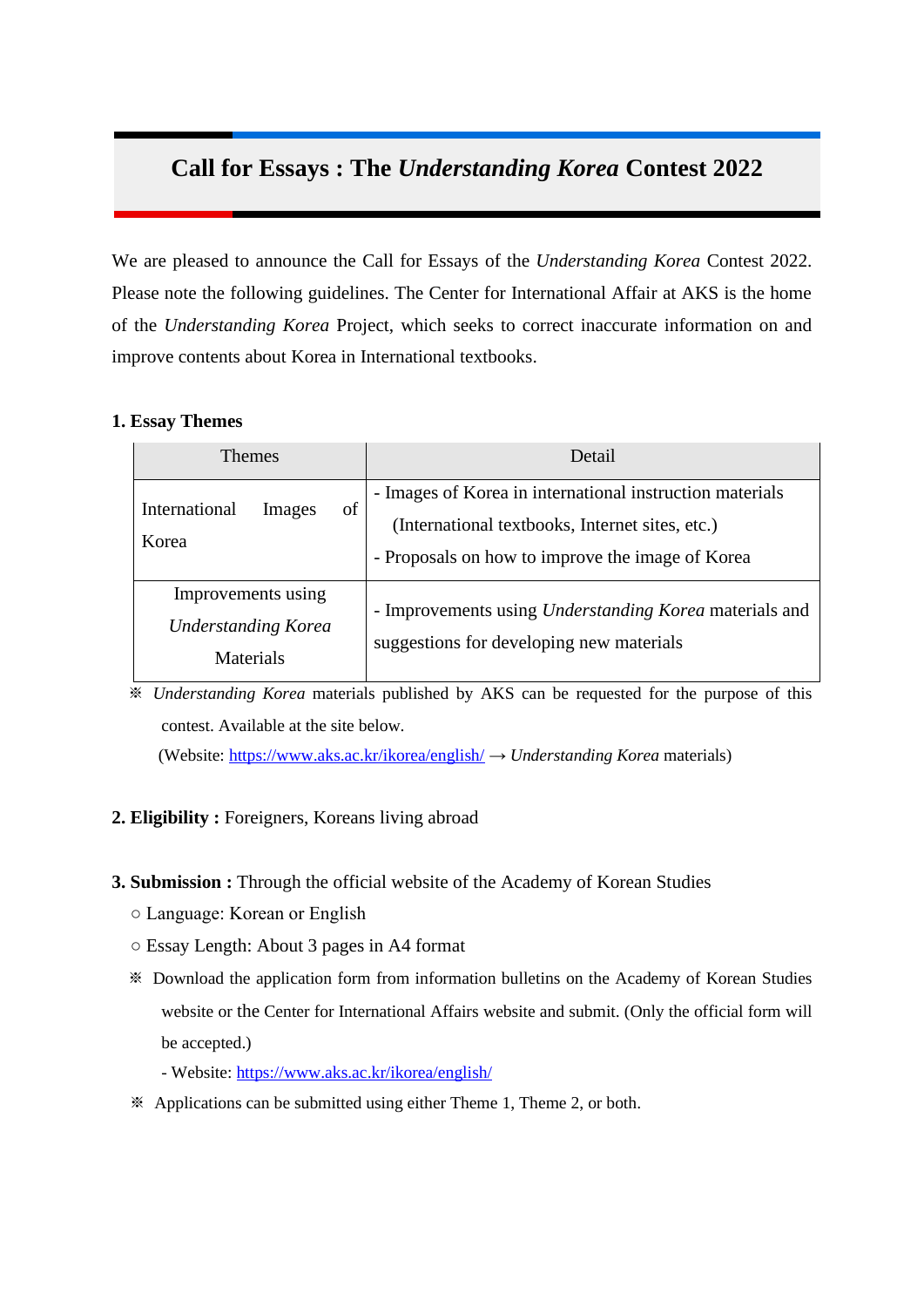## **Call for Essays : The** *Understanding Korea* **Contest 2022**

We are pleased to announce the Call for Essays of the *Understanding Korea* Contest 2022. Please note the following guidelines. The Center for International Affair at AKS is the home of the *Understanding Korea* Project, which seeks to correct inaccurate information on and improve contents about Korea in International textbooks.

#### **1. Essay Themes**

| <b>Themes</b>                                                 |              | Detail                                                                                                                                                          |  |
|---------------------------------------------------------------|--------------|-----------------------------------------------------------------------------------------------------------------------------------------------------------------|--|
| International<br>Korea                                        | of<br>Images | - Images of Korea in international instruction materials<br>(International textbooks, Internet sites, etc.)<br>- Proposals on how to improve the image of Korea |  |
| Improvements using<br><b>Understanding Korea</b><br>Materials |              | - Improvements using Understanding Korea materials and<br>suggestions for developing new materials                                                              |  |

※ *Understanding Korea* materials published by AKS can be requested for the purpose of this contest. Available at the site below.

(Website:<https://www.aks.ac.kr/ikorea/english/> → *Understanding Korea* materials)

### **2. Eligibility :** Foreigners, Koreans living abroad

#### **3. Submission :** Through the official website of the Academy of Korean Studies

- Language: Korean or English
- Essay Length: About 3 pages in A4 format
- ※ Download the application form from information bulletins on the Academy of Korean Studies website or the Center for International Affairs website and submit. (Only the official form will be accepted.)

- Website:<https://www.aks.ac.kr/ikorea/english/>

※ Applications can be submitted using either Theme 1, Theme 2, or both.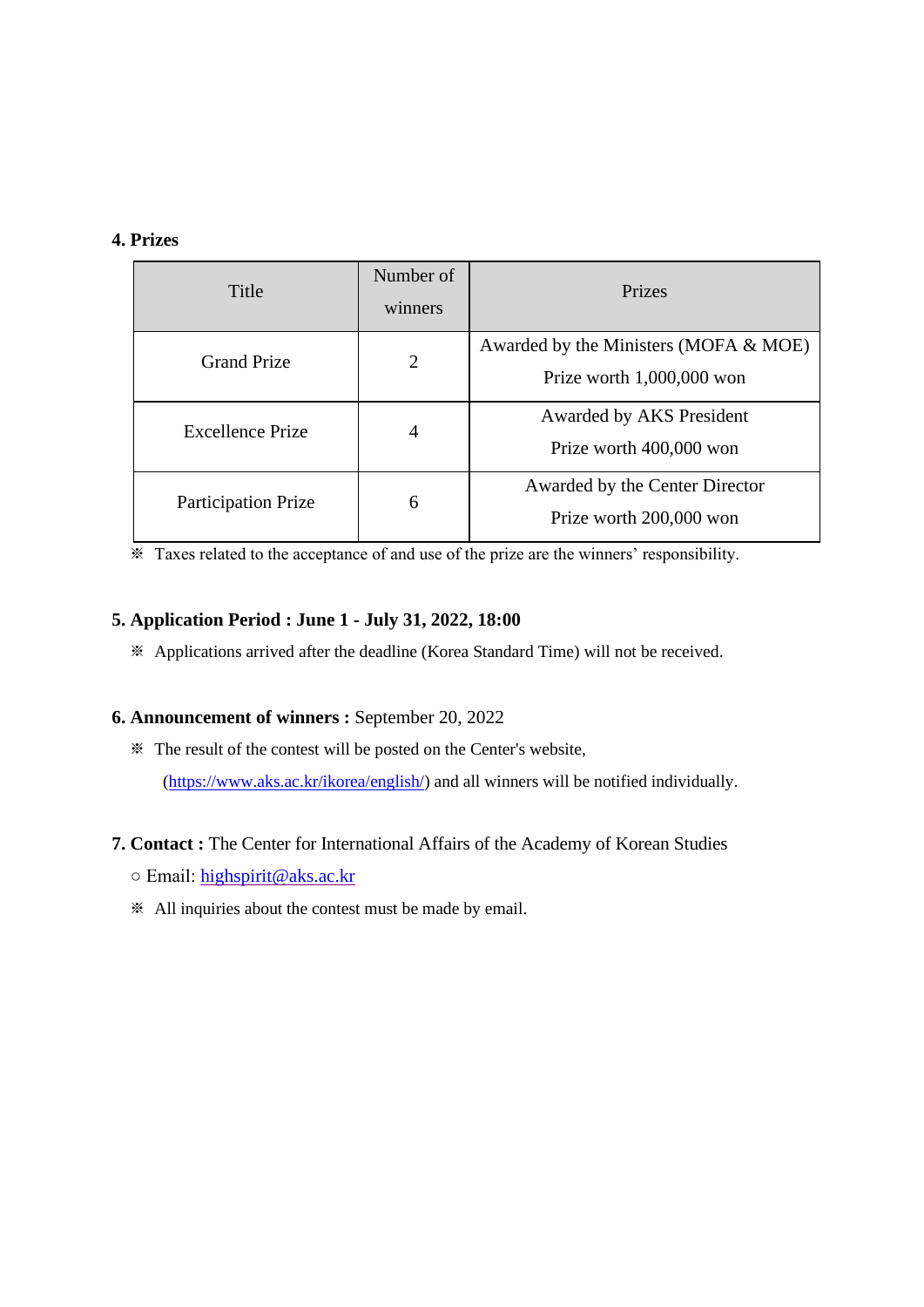#### **4. Prizes**

| Title                      | Number of<br>winners | Prizes                                                                 |  |
|----------------------------|----------------------|------------------------------------------------------------------------|--|
| <b>Grand Prize</b>         | $\overline{2}$       | Awarded by the Ministers (MOFA $&$ MOE)<br>Prize worth $1,000,000$ won |  |
| Excellence Prize           | 4                    | Awarded by AKS President<br>Prize worth 400,000 won                    |  |
| <b>Participation Prize</b> | 6                    | Awarded by the Center Director<br>Prize worth 200,000 won              |  |

※ Taxes related to the acceptance of and use of the prize are the winners' responsibility.

### **5. Application Period : June 1 - July 31, 2022, 18:00**

※ Applications arrived after the deadline (Korea Standard Time) will not be received.

#### **6. Announcement of winners :** September 20, 2022

※ The result of the contest will be posted on the Center's website,

[\(https://www.aks.ac.kr/ikorea/english/\)](https://www.aks.ac.kr/ikorea/english/) and all winners will be notified individually.

#### **7. Contact :** The Center for International Affairs of the Academy of Korean Studies

- Email: [highspirit@aks.ac.kr](2022_공모전_신청서외3/highspirit@aks.ac.kr)
- ※ All inquiries about the contest must be made by email.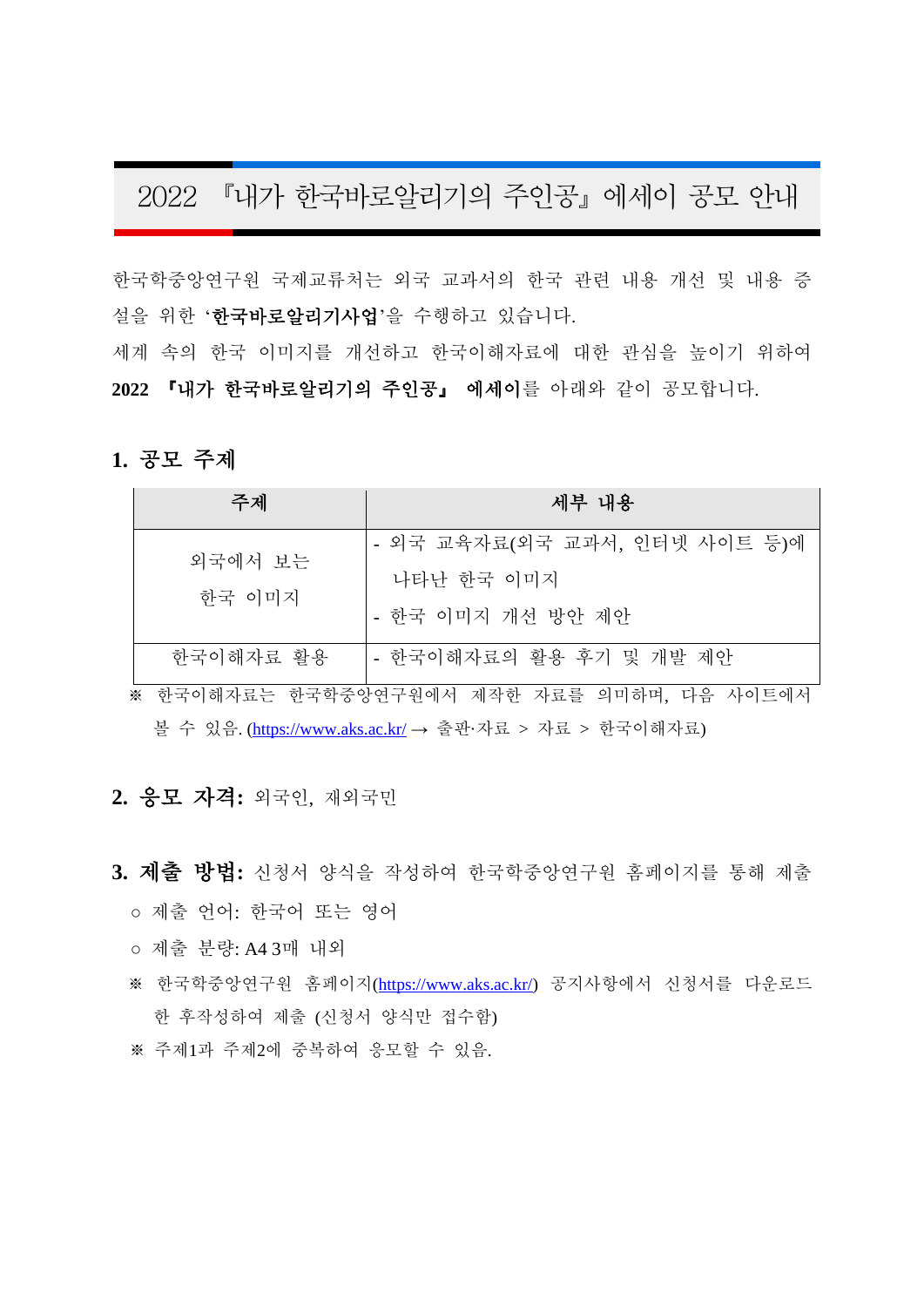# 2022 『내가 한국바로알리기의 주인공』에세이 공모 안내

한국학중앙연구원 국제교류처는 외국 교과서의 한국 관련 내용 개선 및 내용 증 설을 위한 '한국바로알리기사업'을 수행하고 있습니다.

세계 속의 한국 이미지를 개선하고 한국이해자료에 대한 관심을 높이기 위하여 **2022** 『내가 한국바로알리기의 주인공』 에세이를 아래와 같이 공모합니다.

#### **1.** 공모 주제

| 주제        | 세부 내용                         |
|-----------|-------------------------------|
| 외국에서 보는   | - 외국 교육자료(외국 교과서, 인터넷 사이트 등)에 |
|           | 나타난 한국 이미지                    |
| 한국 이미지    | - 한국 이미지 개선 방안 제안             |
| 한국이해자료 활용 | - 한국이해자료의 활용 후기 및 개발 제안       |

※ 한국이해자료는 한국학중앙연구원에서 제작한 자료를 의미하며, 다음 사이트에서 볼 수 있음. [\(https://www.aks.ac.kr/](https://www.aks.ac.kr/) → 출판·자료 > 자료 > 한국이해자료)

## **2.** 응모 자격**:** 외국인, 재외국민

## **3.** 제출 방법**:** 신청서 양식을 작성하여 한국학중앙연구원 홈페이지를 통해 제출

- 제출 언어: 한국어 또는 영어
- 제출 분량: A4 3매 내외
- ※ 한국학중앙연구원 홈페이지[\(https://www.aks.ac.kr/\)](https://www.aks.ac.kr/) 공지사항에서 신청서를 다운로드 한 후작성하여 제출 (신청서 양식만 접수함)
- ※ 주제1과 주제2에 중복하여 응모할 수 있음.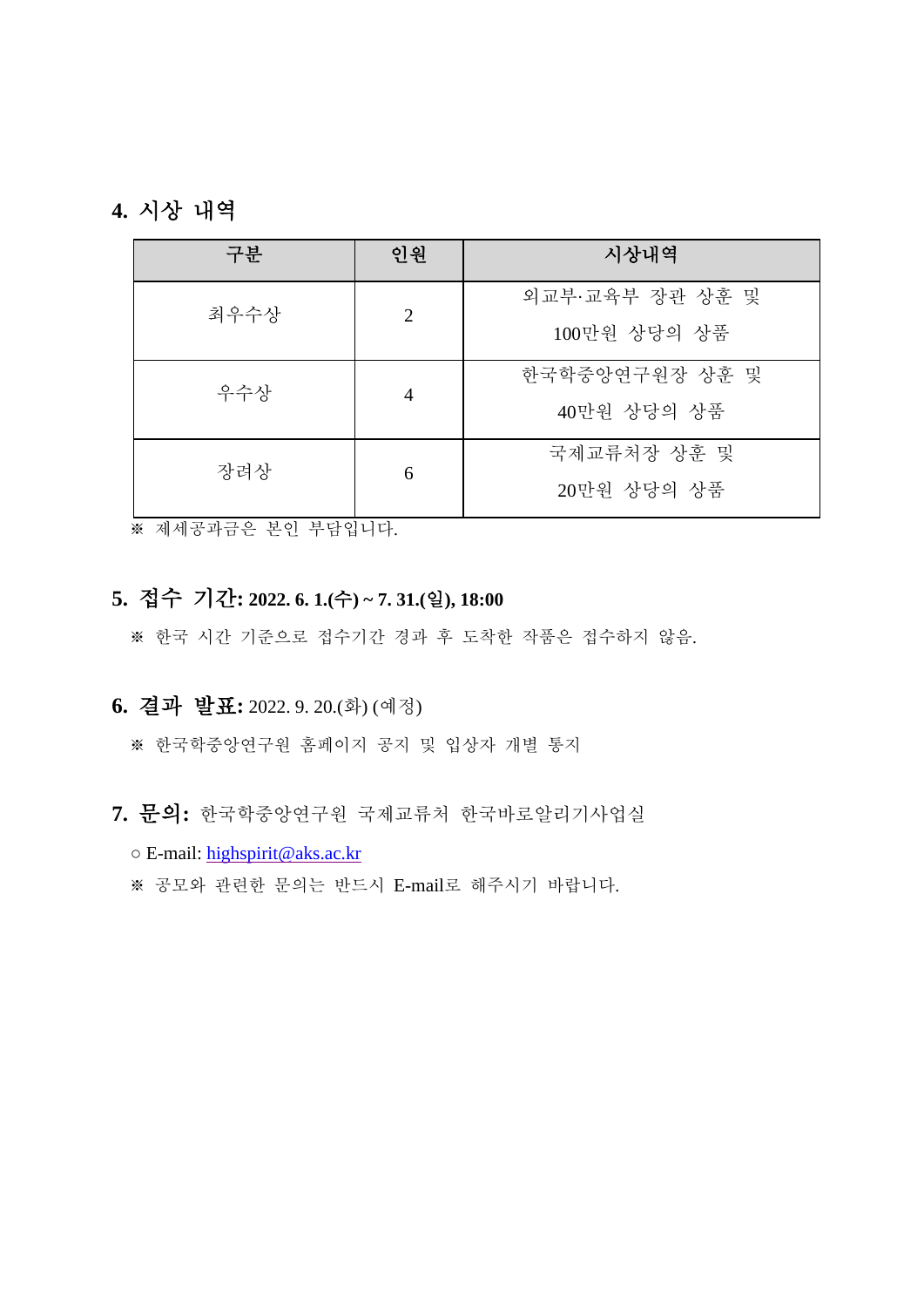## **4.** 시상 내역

| 구분   | 인원             | 시상내역                            |  |
|------|----------------|---------------------------------|--|
| 최우수상 | 2              | 외교부·교육부 장관 상훈 및<br>100만원 상당의 상품 |  |
| 우수상  | $\overline{4}$ | 한국학중앙연구원장 상훈 및<br>40만원 상당의 상품   |  |
| 장려상  | 6              | 국제교류처장 상훈 및<br>20만원 상당의 상품      |  |

※ 제세공과금은 본인 부담입니다.

## **5.** 접수 기간**: 2022. 6. 1.(**수**) ~ 7. 31.(**일**), 18:00**

※ 한국 시간 기준으로 접수기간 경과 후 도착한 작품은 접수하지 않음.

# **6.** 결과 발표**:** 2022. 9. 20.(화) (예정)

※ 한국학중앙연구원 홈페이지 공지 및 입상자 개별 통지

- **7.** 문의**:** 한국학중앙연구원 국제교류처 한국바로알리기사업실
	- E-mail: [highspirit@aks.ac.kr](2022_공모전_신청서외3/highspirit@aks.ac.kr)
	- ※ 공모와 관련한 문의는 반드시 E-mail로 해주시기 바랍니다.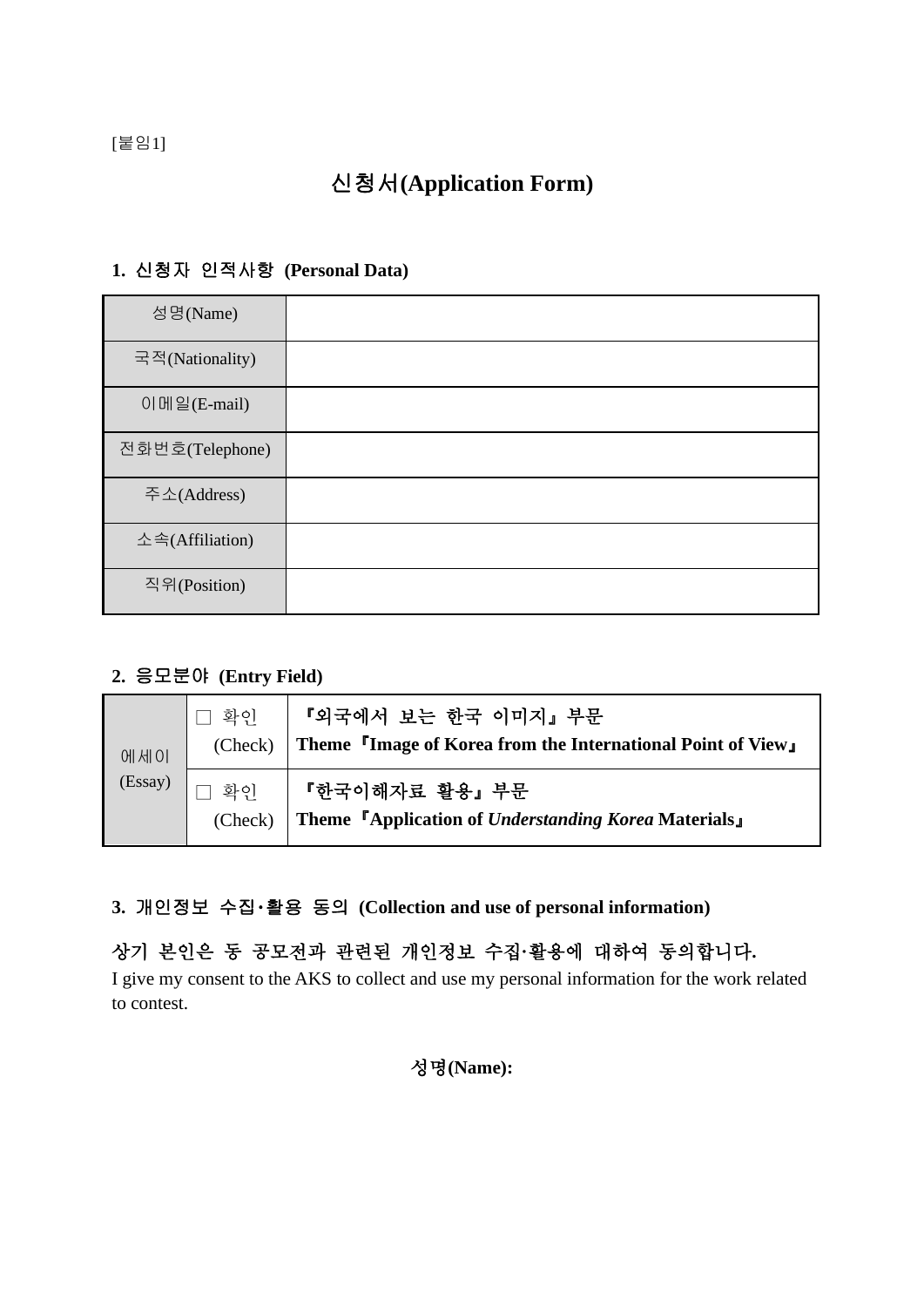[붙임1]

# 신청서**(Application Form)**

## **1.** 신청자 인적사항 **(Personal Data)**

| 성명(Name)        |  |
|-----------------|--|
| 국적(Nationality) |  |
| 이메일(E-mail)     |  |
| 전화번호(Telephone) |  |
| 주소(Address)     |  |
| 소속(Affiliation) |  |
| 직위(Position)    |  |

## **2.** 응모분야 **(Entry Field)**

| 에세이<br>(Essay) | 화인<br>(Check) | │ 『외국에서 보는 한국 이미지』 부문<br>Theme <sup>r</sup> Image of Korea from the International Point of Views      |
|----------------|---------------|-------------------------------------------------------------------------------------------------------|
|                | 화이<br>(Check) | 『한국이해자료 활용』 부문<br>Theme <sup>r</sup> Application of <i>Understanding Korea</i> Materials <sub>J</sub> |

### **3.** 개인정보 수집・활용 동의 **(Collection and use of personal information)**

## 상기 본인은 동 공모전과 관련된 개인정보 수집**·**활용에 대하여 동의합니다**.**

I give my consent to the AKS to collect and use my personal information for the work related to contest.

성명**(Name):**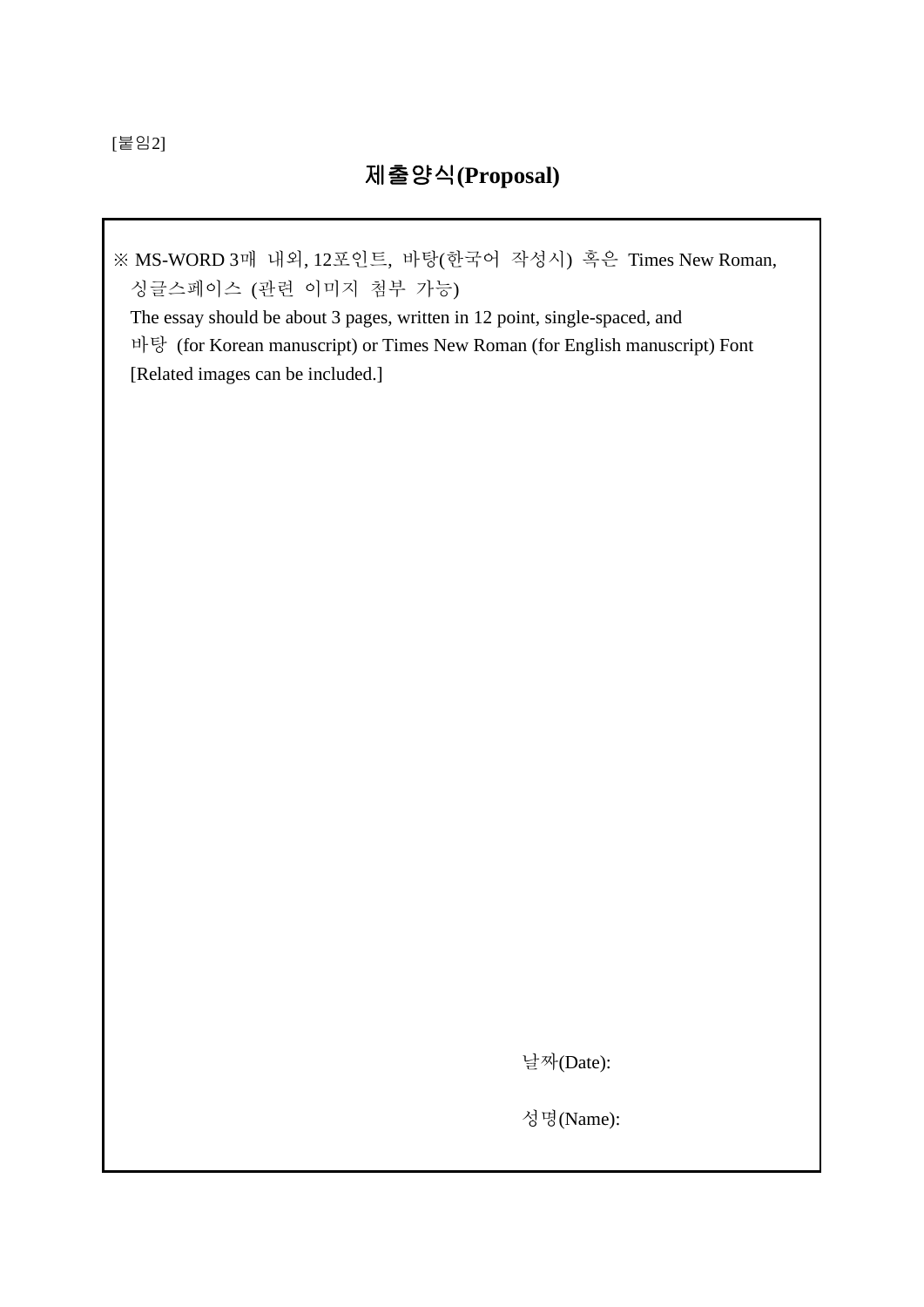[붙임2]

# 제출양식**(Proposal)**

※ MS-WORD 3매 내외, 12포인트, 바탕(한국어 작성시) 혹은 Times New Roman, 싱글스페이스 (관련 이미지 첨부 가능)

The essay should be about 3 pages, written in 12 point, single-spaced, and 바탕 (for Korean manuscript) or Times New Roman (for English manuscript) Font [Related images can be included.]

날짜(Date):

성명(Name):